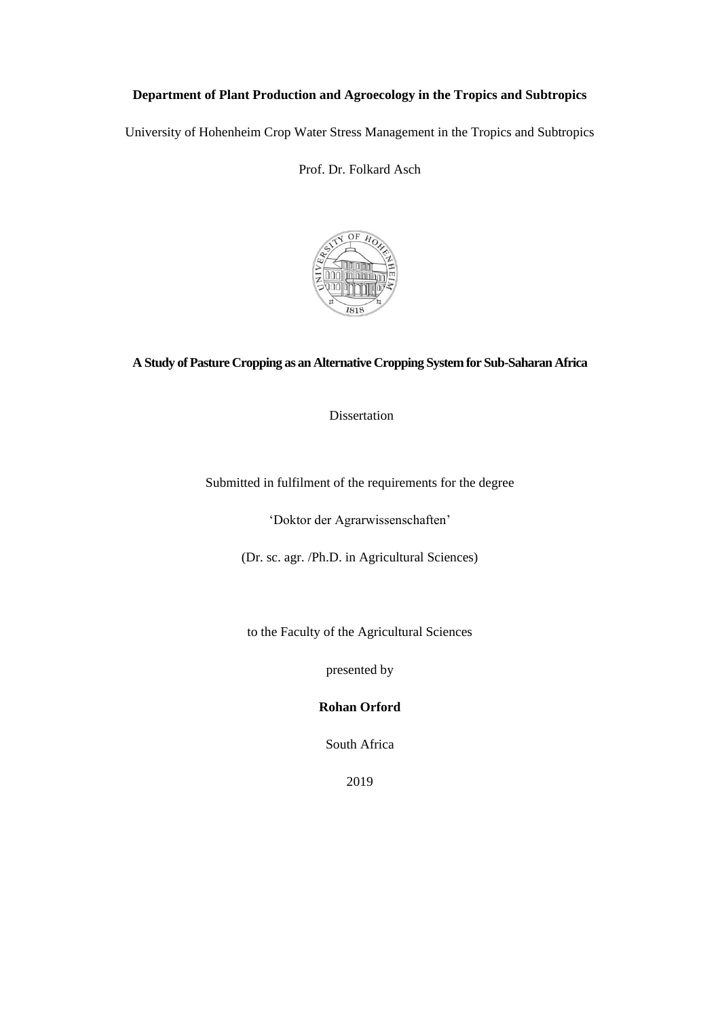## **Department of Plant Production and Agroecology in the Tropics and Subtropics**

University of Hohenheim Crop Water Stress Management in the Tropics and Subtropics

Prof. Dr. Folkard Asch



## **A Study of Pasture Cropping as an Alternative Cropping System for Sub-Saharan Africa**

Dissertation

Submitted in fulfilment of the requirements for the degree

'Doktor der Agrarwissenschaften'

(Dr. sc. agr. /Ph.D. in Agricultural Sciences)

to the Faculty of the Agricultural Sciences

presented by

**Rohan Orford**

South Africa

2019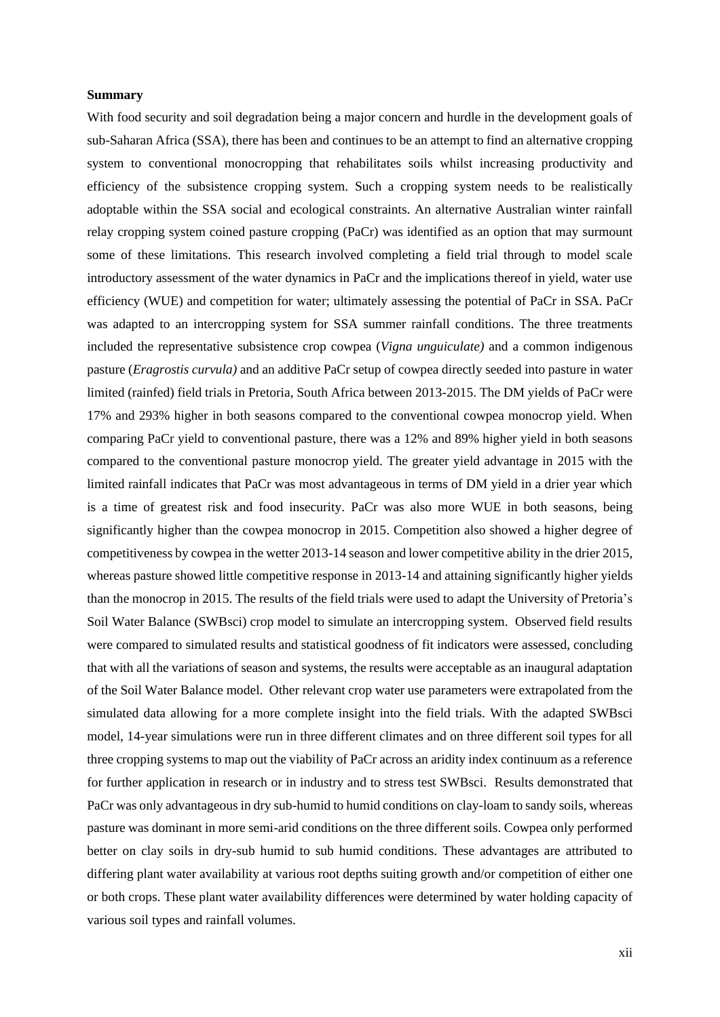## **Summary**

With food security and soil degradation being a major concern and hurdle in the development goals of sub-Saharan Africa (SSA), there has been and continues to be an attempt to find an alternative cropping system to conventional monocropping that rehabilitates soils whilst increasing productivity and efficiency of the subsistence cropping system. Such a cropping system needs to be realistically adoptable within the SSA social and ecological constraints. An alternative Australian winter rainfall relay cropping system coined pasture cropping (PaCr) was identified as an option that may surmount some of these limitations. This research involved completing a field trial through to model scale introductory assessment of the water dynamics in PaCr and the implications thereof in yield, water use efficiency (WUE) and competition for water; ultimately assessing the potential of PaCr in SSA. PaCr was adapted to an intercropping system for SSA summer rainfall conditions. The three treatments included the representative subsistence crop cowpea (*Vigna unguiculate)* and a common indigenous pasture (*Eragrostis curvula)* and an additive PaCr setup of cowpea directly seeded into pasture in water limited (rainfed) field trials in Pretoria, South Africa between 2013-2015. The DM yields of PaCr were 17% and 293% higher in both seasons compared to the conventional cowpea monocrop yield. When comparing PaCr yield to conventional pasture, there was a 12% and 89% higher yield in both seasons compared to the conventional pasture monocrop yield. The greater yield advantage in 2015 with the limited rainfall indicates that PaCr was most advantageous in terms of DM yield in a drier year which is a time of greatest risk and food insecurity. PaCr was also more WUE in both seasons, being significantly higher than the cowpea monocrop in 2015. Competition also showed a higher degree of competitiveness by cowpea in the wetter 2013-14 season and lower competitive ability in the drier 2015, whereas pasture showed little competitive response in 2013-14 and attaining significantly higher yields than the monocrop in 2015. The results of the field trials were used to adapt the University of Pretoria's Soil Water Balance (SWBsci) crop model to simulate an intercropping system. Observed field results were compared to simulated results and statistical goodness of fit indicators were assessed, concluding that with all the variations of season and systems, the results were acceptable as an inaugural adaptation of the Soil Water Balance model. Other relevant crop water use parameters were extrapolated from the simulated data allowing for a more complete insight into the field trials. With the adapted SWBsci model, 14-year simulations were run in three different climates and on three different soil types for all three cropping systems to map out the viability of PaCr across an aridity index continuum as a reference for further application in research or in industry and to stress test SWBsci. Results demonstrated that PaCr was only advantageous in dry sub-humid to humid conditions on clay-loam to sandy soils, whereas pasture was dominant in more semi-arid conditions on the three different soils. Cowpea only performed better on clay soils in dry-sub humid to sub humid conditions. These advantages are attributed to differing plant water availability at various root depths suiting growth and/or competition of either one or both crops. These plant water availability differences were determined by water holding capacity of various soil types and rainfall volumes.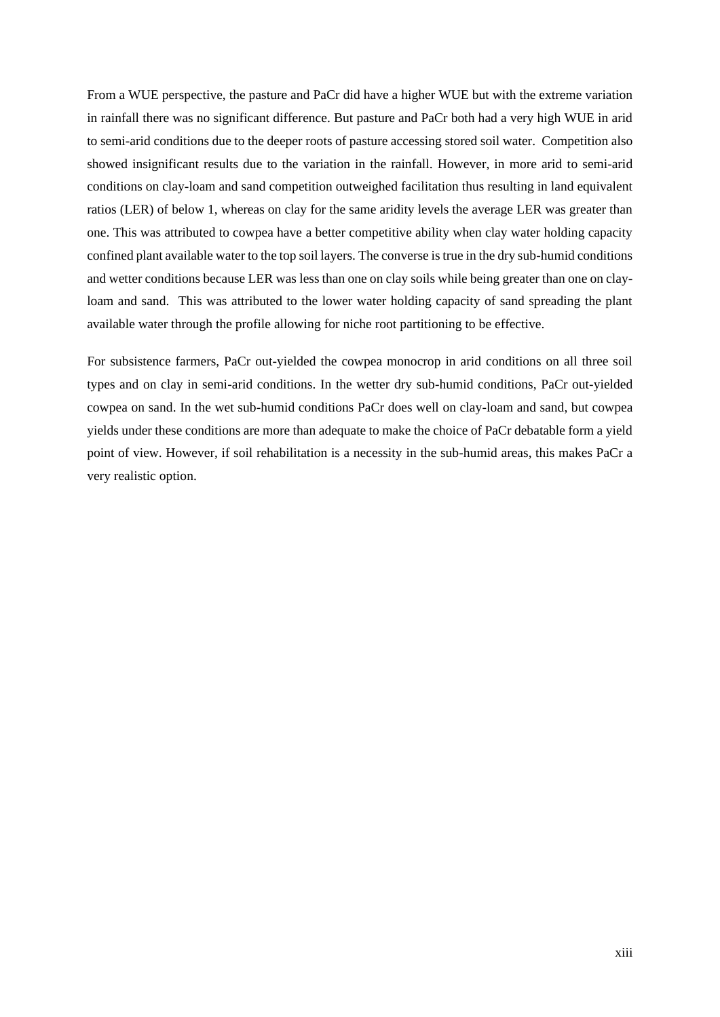From a WUE perspective, the pasture and PaCr did have a higher WUE but with the extreme variation in rainfall there was no significant difference. But pasture and PaCr both had a very high WUE in arid to semi-arid conditions due to the deeper roots of pasture accessing stored soil water. Competition also showed insignificant results due to the variation in the rainfall. However, in more arid to semi-arid conditions on clay-loam and sand competition outweighed facilitation thus resulting in land equivalent ratios (LER) of below 1, whereas on clay for the same aridity levels the average LER was greater than one. This was attributed to cowpea have a better competitive ability when clay water holding capacity confined plant available water to the top soil layers. The converse is true in the dry sub-humid conditions and wetter conditions because LER was less than one on clay soils while being greater than one on clayloam and sand. This was attributed to the lower water holding capacity of sand spreading the plant available water through the profile allowing for niche root partitioning to be effective.

For subsistence farmers, PaCr out-yielded the cowpea monocrop in arid conditions on all three soil types and on clay in semi-arid conditions. In the wetter dry sub-humid conditions, PaCr out-yielded cowpea on sand. In the wet sub-humid conditions PaCr does well on clay-loam and sand, but cowpea yields under these conditions are more than adequate to make the choice of PaCr debatable form a yield point of view. However, if soil rehabilitation is a necessity in the sub-humid areas, this makes PaCr a very realistic option.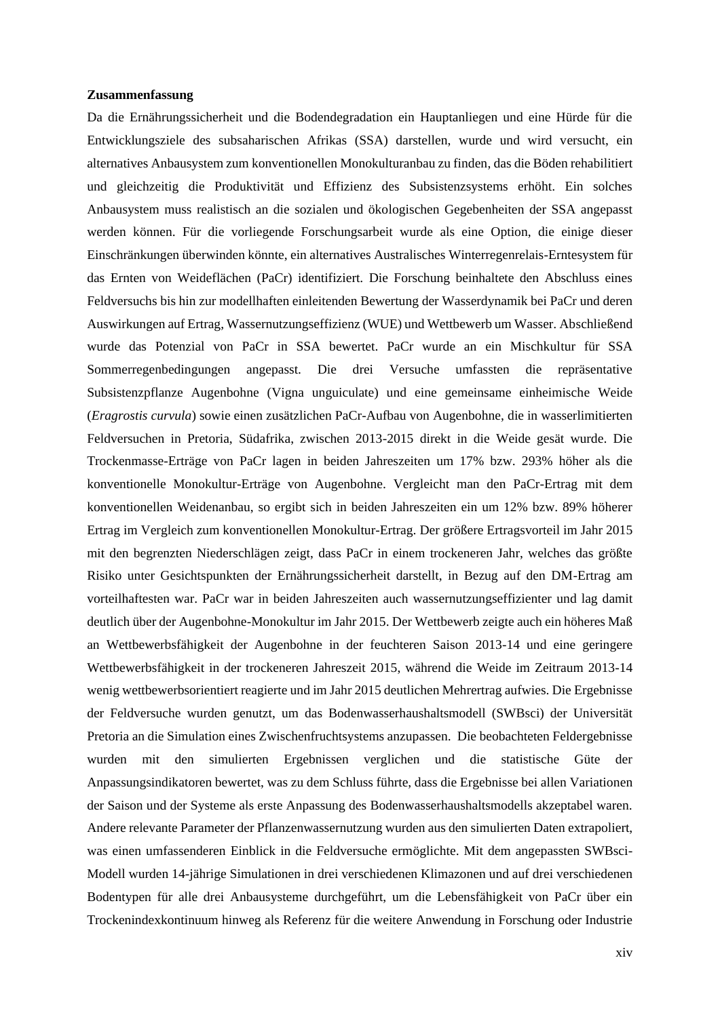## **Zusammenfassung**

Da die Ernährungssicherheit und die Bodendegradation ein Hauptanliegen und eine Hürde für die Entwicklungsziele des subsaharischen Afrikas (SSA) darstellen, wurde und wird versucht, ein alternatives Anbausystem zum konventionellen Monokulturanbau zu finden, das die Böden rehabilitiert und gleichzeitig die Produktivität und Effizienz des Subsistenzsystems erhöht. Ein solches Anbausystem muss realistisch an die sozialen und ökologischen Gegebenheiten der SSA angepasst werden können. Für die vorliegende Forschungsarbeit wurde als eine Option, die einige dieser Einschränkungen überwinden könnte, ein alternatives Australisches Winterregenrelais-Erntesystem für das Ernten von Weideflächen (PaCr) identifiziert. Die Forschung beinhaltete den Abschluss eines Feldversuchs bis hin zur modellhaften einleitenden Bewertung der Wasserdynamik bei PaCr und deren Auswirkungen auf Ertrag, Wassernutzungseffizienz (WUE) und Wettbewerb um Wasser. Abschließend wurde das Potenzial von PaCr in SSA bewertet. PaCr wurde an ein Mischkultur für SSA Sommerregenbedingungen angepasst. Die drei Versuche umfassten die repräsentative Subsistenzpflanze Augenbohne (Vigna unguiculate) und eine gemeinsame einheimische Weide (*Eragrostis curvula*) sowie einen zusätzlichen PaCr-Aufbau von Augenbohne, die in wasserlimitierten Feldversuchen in Pretoria, Südafrika, zwischen 2013-2015 direkt in die Weide gesät wurde. Die Trockenmasse-Erträge von PaCr lagen in beiden Jahreszeiten um 17% bzw. 293% höher als die konventionelle Monokultur-Erträge von Augenbohne. Vergleicht man den PaCr-Ertrag mit dem konventionellen Weidenanbau, so ergibt sich in beiden Jahreszeiten ein um 12% bzw. 89% höherer Ertrag im Vergleich zum konventionellen Monokultur-Ertrag. Der größere Ertragsvorteil im Jahr 2015 mit den begrenzten Niederschlägen zeigt, dass PaCr in einem trockeneren Jahr, welches das größte Risiko unter Gesichtspunkten der Ernährungssicherheit darstellt, in Bezug auf den DM-Ertrag am vorteilhaftesten war. PaCr war in beiden Jahreszeiten auch wassernutzungseffizienter und lag damit deutlich über der Augenbohne-Monokultur im Jahr 2015. Der Wettbewerb zeigte auch ein höheres Maß an Wettbewerbsfähigkeit der Augenbohne in der feuchteren Saison 2013-14 und eine geringere Wettbewerbsfähigkeit in der trockeneren Jahreszeit 2015, während die Weide im Zeitraum 2013-14 wenig wettbewerbsorientiert reagierte und im Jahr 2015 deutlichen Mehrertrag aufwies. Die Ergebnisse der Feldversuche wurden genutzt, um das Bodenwasserhaushaltsmodell (SWBsci) der Universität Pretoria an die Simulation eines Zwischenfruchtsystems anzupassen. Die beobachteten Feldergebnisse wurden mit den simulierten Ergebnissen verglichen und die statistische Güte der Anpassungsindikatoren bewertet, was zu dem Schluss führte, dass die Ergebnisse bei allen Variationen der Saison und der Systeme als erste Anpassung des Bodenwasserhaushaltsmodells akzeptabel waren. Andere relevante Parameter der Pflanzenwassernutzung wurden aus den simulierten Daten extrapoliert, was einen umfassenderen Einblick in die Feldversuche ermöglichte. Mit dem angepassten SWBsci-Modell wurden 14-jährige Simulationen in drei verschiedenen Klimazonen und auf drei verschiedenen Bodentypen für alle drei Anbausysteme durchgeführt, um die Lebensfähigkeit von PaCr über ein Trockenindexkontinuum hinweg als Referenz für die weitere Anwendung in Forschung oder Industrie